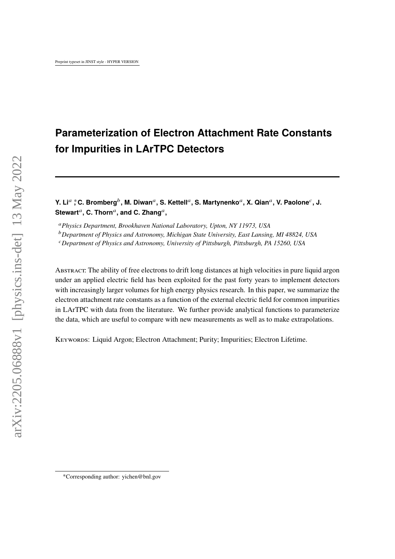# **Parameterization of Electron Attachment Rate Constants for Impurities in LArTPC Detectors**

**Y.** Li<sup>a</sup>  $\dagger$  C. Bromberg $^b$ , M. Diwan<sup>a</sup>, S. Kettell<sup>a</sup>, S. Martynenko<sup>a</sup>, X. Qian<sup>a</sup>, V. Paolone<sup>c</sup>, J.  $\mathsf{Stewart}^a, \mathsf{C}.$  Thorn $^a,$  and C. Zhang $^a,$ 

*Physics Department, Brookhaven National Laboratory, Upton, NY 11973, USA*

*Department of Physics and Astronomy, Michigan State University, East Lansing, MI 48824, USA*

*Department of Physics and Astronomy, University of Pittsburgh, Pittsburgh, PA 15260, USA*

Abstract: The ability of free electrons to drift long distances at high velocities in pure liquid argon under an applied electric field has been exploited for the past forty years to implement detectors with increasingly larger volumes for high energy physics research. In this paper, we summarize the electron attachment rate constants as a function of the external electric field for common impurities in LArTPC with data from the literature. We further provide analytical functions to parameterize the data, which are useful to compare with new measurements as well as to make extrapolations.

Keywords: Liquid Argon; Electron Attachment; Purity; Impurities; Electron Lifetime.

<sup>∗</sup>Corresponding author: yichen@bnl.gov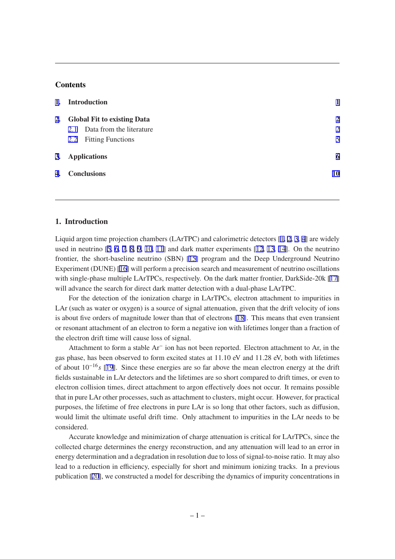## **Contents**

| 1. | <b>Introduction</b>                |                |
|----|------------------------------------|----------------|
| 2. | <b>Global Fit to existing Data</b> | $\mathbf{2}$   |
|    | 2.1 Data from the literature       | $\overline{2}$ |
|    | 2.2 Fitting Functions              | 5              |
|    | 3. Applications                    | 6              |
| 4. | <b>Conclusions</b>                 | 10             |
|    |                                    |                |

# **1. Introduction**

Liquid argon time projection chambers (LArTPC) and calorimetric detectors [[1](#page-10-0), [2,](#page-10-0) [3,](#page-10-0) [4](#page-10-0)] are widely used in neutrino [[5](#page-10-0), [6,](#page-10-0) [7,](#page-10-0) [8](#page-10-0), [9,](#page-10-0) [10,](#page-11-0) [11](#page-11-0)] and dark matter experiments [[12,](#page-11-0) [13,](#page-11-0) [14\]](#page-11-0). On the neutrino frontier, the short-baseline neutrino (SBN) [[15\]](#page-11-0) program and the Deep Underground Neutrino Experiment (DUNE) [\[16](#page-11-0)] will perform a precision search and measurement of neutrino oscillations with single-phase multiple LArTPCs, respectively. On the dark matter frontier, DarkSide-20k [\[17](#page-11-0)] will advance the search for direct dark matter detection with a dual-phase LArTPC.

For the detection of the ionization charge in LArTPCs, electron attachment to impurities in LAr (such as water or oxygen) is a source of signal attenuation, given that the drift velocity of ions is about five orders of magnitude lower than that of electrons [\[18](#page-11-0)]. This means that even transient or resonant attachment of an electron to form a negative ion with lifetimes longer than a fraction of the electron drift time will cause loss of signal.

Attachment to form a stable Ar<sup>−</sup> ion has not been reported. Electron attachment to Ar, in the gas phase, has been observed to form excited states at 11.10 eV and 11.28 eV, both with lifetimes of about  $10^{-16}$  s [[19\]](#page-11-0). Since these energies are so far above the mean electron energy at the drift fields sustainable in LAr detectors and the lifetimes are so short compared to drift times, or even to electron collision times, direct attachment to argon effectively does not occur. It remains possible that in pure LAr other processes, such as attachment to clusters, might occur. However, for practical purposes, the lifetime of free electrons in pure LAr is so long that other factors, such as diffusion, would limit the ultimate useful drift time. Only attachment to impurities in the LAr needs to be considered.

Accurate knowledge and minimization of charge attenuation is critical for LArTPCs, since the collected charge determines the energy reconstruction, and any attenuation will lead to an error in energy determination and a degradation in resolution due to loss of signal-to-noise ratio. It may also lead to a reduction in efficiency, especially for short and minimum ionizing tracks. In a previous publication [\[20](#page-11-0)], we constructed a model for describing the dynamics of impurity concentrations in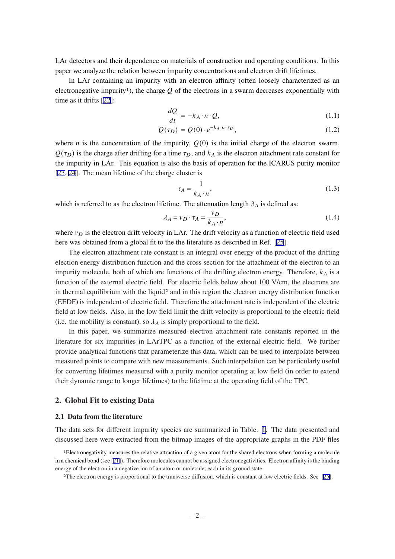<span id="page-2-0"></span>LAr detectors and their dependence on materials of construction and operating conditions. In this paper we analyze the relation between impurity concentrations and electron drift lifetimes.

In LAr containing an impurity with an electron affinity (often loosely characterized as an electronegative impurity<sup>1</sup>), the charge  $Q$  of the electrons in a swarm decreases exponentially with time as it drifts [[22\]](#page-11-0):

$$
\frac{dQ}{dt} = -k_A \cdot n \cdot Q,\tag{1.1}
$$

$$
Q(\tau_D) = Q(0) \cdot e^{-k_A \cdot n \cdot \tau_D},\tag{1.2}
$$

where *n* is the concentration of the impurity,  $Q(0)$  is the initial charge of the electron swarm,  $Q(\tau_D)$  is the charge after drifting for a time  $\tau_D$ , and  $k_A$  is the electron attachment rate constant for the impurity in LAr. This equation is also the basis of operation for the ICARUS purity monitor [[23,](#page-11-0) [24](#page-11-0)]. The mean lifetime of the charge cluster is

$$
\tau_A = \frac{1}{k_A \cdot n},\tag{1.3}
$$

which is referred to as the electron lifetime. The attenuation length  $\lambda_A$  is defined as:

$$
\lambda_A = v_D \cdot \tau_A = \frac{v_D}{k_A \cdot n},\tag{1.4}
$$

where  $v_D$  is the electron drift velocity in LAr. The drift velocity as a function of electric field used here was obtained from a global fit to the the literature as described in Ref. [[25\]](#page-11-0).

The electron attachment rate constant is an integral over energy of the product of the drifting election energy distribution function and the cross section for the attachment of the electron to an impurity molecule, both of which are functions of the drifting electron energy. Therefore,  $k_A$  is a function of the external electric field. For electric fields below about 100 V/cm, the electrons are in thermal equilibrium with the liquid<sup>2</sup> and in this region the electron energy distribution function (EEDF) is independent of electric field. Therefore the attachment rate is independent of the electric field at low fields. Also, in the low field limit the drift velocity is proportional to the electric field (i.e. the mobility is constant), so  $\lambda_A$  is simply proportional to the field.

In this paper, we summarize measured electron attachment rate constants reported in the literature for six impurities in LArTPC as a function of the external electric field. We further provide analytical functions that parameterize this data, which can be used to interpolate between measured points to compare with new measurements. Such interpolation can be particularly useful for converting lifetimes measured with a purity monitor operating at low field (in order to extend their dynamic range to longer lifetimes) to the lifetime at the operating field of the TPC.

### **2. Global Fit to existing Data**

#### **2.1 Data from the literature**

The data sets for different impurity species are summarized in Table. [1](#page-3-0). The data presented and discussed here were extracted from the bitmap images of the appropriate graphs in the PDF files

<sup>1</sup>Electronegativity measures the relative attraction of a given atom for the shared electrons when forming a molecule in a chemical bond (see [[21\]](#page-11-0)). Therefore molecules cannot be assigned electronegativities. Electron affinity is the binding energy of the electron in a negative ion of an atom or molecule, each in its ground state.

<sup>2</sup>The electron energy is proportional to the transverse diffusion, which is constant at low electric fields. See [[25\]](#page-11-0).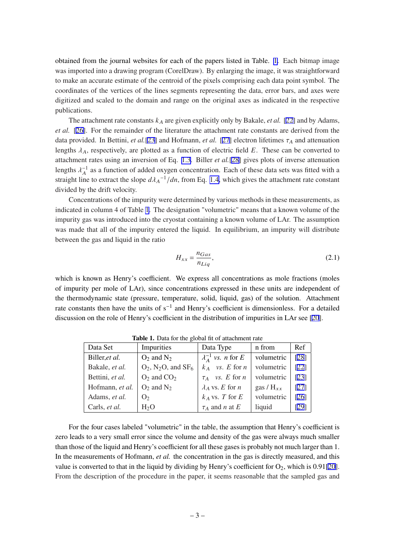<span id="page-3-0"></span>obtained from the journal websites for each of the papers listed in Table. 1. Each bitmap image was imported into a drawing program (CorelDraw). By enlarging the image, it was straightforward to make an accurate estimate of the centroid of the pixels comprising each data point symbol. The coordinates of the vertices of the lines segments representing the data, error bars, and axes were digitized and scaled to the domain and range on the original axes as indicated in the respective publications.

The attachment rate constants  $k_A$  are given explicitly only by Bakale, *et al.* [\[22\]](#page-11-0) and by Adams, *et al.* [[26\]](#page-11-0). For the remainder of the literature the attachment rate constants are derived from the data provided. In Bettini, *et al.* [\[23](#page-11-0)] and Hofmann, *et al.* [[27\]](#page-12-0) electron lifetimes  $\tau_A$  and attenuation lengths  $\lambda_A$ , respectively, are plotted as a function of electric field E. These can be converted to attachment rates using an inversion of Eq. [1.3](#page-2-0). Biller *et al.*[\[28](#page-12-0)] gives plots of inverse attenuation lengths  $\lambda_A^{-1}$  as a function of added oxygen concentration. Each of these data sets was fitted with a straight line to extract the slope  $d\lambda_A^{-1}/dn$ , from Eq. [1.4,](#page-2-0) which gives the attachment rate constant divided by the drift velocity.

Concentrations of the impurity were determined by various methods in these measurements, as indicated in column 4 of Table 1. The designation "volumetric" means that a known volume of the impurity gas was introduced into the cryostat containing a known volume of LAr. The assumption was made that all of the impurity entered the liquid. In equilibrium, an impurity will distribute between the gas and liquid in the ratio

$$
H_{xx} = \frac{n_{Gas}}{n_{Liq}},\tag{2.1}
$$

which is known as Henry's coefficient. We express all concentrations as mole fractions (moles of impurity per mole of LAr), since concentrations expressed in these units are independent of the thermodynamic state (pressure, temperature, solid, liquid, gas) of the solution. Attachment rate constants then have the units of s<sup>-1</sup> and Henry's coefficient is dimensionless. For a detailed discussion on the role of Henry's coefficient in the distribution of impurities in LAr see [\[20](#page-11-0)].

| Data Set        | Impurities                                    | Data Type                           | n from         | Ref                |
|-----------------|-----------------------------------------------|-------------------------------------|----------------|--------------------|
| Biller, et al.  | $O_2$ and $N_2$                               | $\lambda_A^{-1}$ vs. <i>n</i> for E | volumetric     | [28]               |
| Bakale, et al.  | $O_2$ , N <sub>2</sub> O, and SF <sub>6</sub> | $k_A$ vs. E for n                   | volumetric     | [22]               |
| Bettini, et al. | $O_2$ and $CO_2$                              | $\tau_A$ vs. E for n                | volumetric     | [23]               |
| Hofmann, et al. | $O_2$ and $N_2$                               | $\lambda_A$ vs. E for n             | gas / $H_{xx}$ | [27]               |
| Adams, et al.   | O <sub>2</sub>                                | $k_A$ vs. T for E                   | volumetric     | $\lceil 26 \rceil$ |
| Carls, et al.   | $H_2O$                                        | $\tau_A$ and <i>n</i> at <i>E</i>   | liquid         | [29]               |

**Table 1.** Data for the global fit of attachment rate

For the four cases labeled "volumetric" in the table, the assumption that Henry's coefficient is zero leads to a very small error since the volume and density of the gas were always much smaller than those of the liquid and Henry's coefficient for all these gases is probably not much larger than 1. In the measurements of Hofmann, *et al.* the concentration in the gas is directly measured, and this value is converted to that in the liquid by dividing by Henry's coefficient for  $O_2$ , which is 0.91[[20\]](#page-11-0). From the description of the procedure in the paper, it seems reasonable that the sampled gas and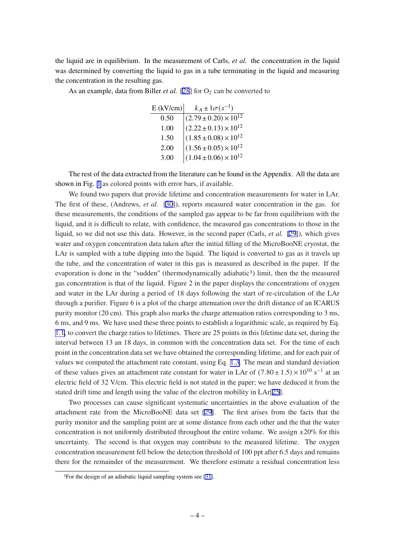the liquid are in equilibrium. In the measurement of Carls, *et al.* the concentration in the liquid was determined by converting the liquid to gas in a tube terminating in the liquid and measuring the concentration in the resulting gas.

As an example, data from Biller *et al.* [\[28](#page-12-0)] for  $O_2$  can be converted to

| $E$ (kV/cm) | $k_A \pm 1\sigma(s^{-1})$                                                                                                                                                     |
|-------------|-------------------------------------------------------------------------------------------------------------------------------------------------------------------------------|
| 0.50        |                                                                                                                                                                               |
| 1.00        |                                                                                                                                                                               |
| 1.50        |                                                                                                                                                                               |
| 2.00        | $\begin{array}{c} (2.79\pm0.20)\times10^{12}\\ (2.22\pm0.13)\times10^{12}\\ (1.85\pm0.08)\times10^{12}\\ (1.56\pm0.05)\times10^{12}\\ (1.04\pm0.06)\times10^{12} \end{array}$ |
| 3.00        |                                                                                                                                                                               |

The rest of the data extracted from the literature can be found in the Appendix. All the data are shown in Fig. [1](#page-7-0) as colored points with error bars, if available.

We found two papers that provide lifetime and concentration measurements for water in LAr. The first of these, (Andrews, *et al.* [[30\]](#page-12-0)), reports measured water concentration in the gas. for these measurements, the conditions of the sampled gas appear to be far from equilibrium with the liquid, and it is difficult to relate, with confidence, the measured gas concentrations to those in the liquid, so we did not use this data. However, in the second paper (Carls, *et al.* [[29](#page-12-0)]), which gives water and oxygen concentration data taken after the initial filling of the MicroBooNE cryostat, the LAr is sampled with a tube dipping into the liquid. The liquid is converted to gas as it travels up the tube, and the concentration of water in this gas is measured as described in the paper. If the evaporation is done in the "sudden" (thermodynamically adiabatic<sup>3</sup>) limit, then the the measured gas concentration is that of the liquid. Figure 2 in the paper displays the concentrations of oxygen and water in the LAr during a period of 18 days following the start of re-circulation of the LAr through a purifier. Figure 6 is a plot of the charge attenuation over the drift distance of an ICARUS purity monitor (20 cm). This graph also marks the charge attenuation ratios corresponding to 3 ms, 6 ms, and 9 ms. We have used these three points to establish a logarithmic scale, as required by Eq. [1.1,](#page-2-0) to convert the charge ratios to lifetimes. There are 25 points in this lifetime data set, during the interval between 13 an 18 days, in common with the concentration data set. For the time of each point in the concentration data set we have obtained the corresponding lifetime, and for each pair of values we computed the attachment rate constant, using Eq. [1.3.](#page-2-0) The mean and standard deviation of these values gives an attachment rate constant for water in LAr of  $(7.80 \pm 1.5) \times 10^{10} \text{ s}^{-1}$  at an electric field of 32 V/cm. This electric field is not stated in the paper; we have deduced it from the stated drift time and length using the value of the electron mobility in LAr[[25\]](#page-11-0).

Two processes can cause significant systematic uncertainties in the above evaluation of the attachment rate from the MicroBooNE data set [\[29](#page-12-0)]. The first arises from the facts that the purity monitor and the sampling point are at some distance from each other and the that the water concentration is not uniformly distributed throughout the entire volume. We assign  $\pm 20\%$  for this uncertainty. The second is that oxygen may contribute to the measured lifetime. The oxygen concentration measurement fell below the detection threshold of 100 ppt after 6.5 days and remains there for the remainder of the measurement. We therefore estimate a residual concentration less

<sup>3</sup>For the design of an adiabatic liquid sampling system see [[31\]](#page-12-0).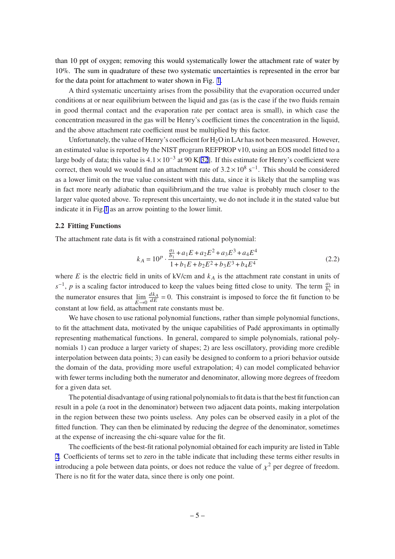<span id="page-5-0"></span>than 10 ppt of oxygen; removing this would systematically lower the attachment rate of water by 10%. The sum in quadrature of these two systematic uncertainties is represented in the error bar for the data point for attachment to water shown in Fig. [1](#page-7-0).

A third systematic uncertainty arises from the possibility that the evaporation occurred under conditions at or near equilibrium between the liquid and gas (as is the case if the two fluids remain in good thermal contact and the evaporation rate per contact area is small), in which case the concentration measured in the gas will be Henry's coefficient times the concentration in the liquid, and the above attachment rate coefficient must be multiplied by this factor.

Unfortunately, the value of Henry's coefficient for  $H_2O$  in LAr has not been measured. However, an estimated value is reported by the NIST program REFPROP v10, using an EOS model fitted to a large body of data; this value is  $4.1 \times 10^{-3}$  at 90 K[\[32\]](#page-12-0). If this estimate for Henry's coefficient were correct, then would we would find an attachment rate of  $3.2 \times 10^8$  s<sup>-1</sup>. This should be considered as a lower limit on the true value consistent with this data, since it is likely that the sampling was in fact more nearly adiabatic than equilibrium,and the true value is probably much closer to the larger value quoted above. To represent this uncertainty, we do not include it in the stated value but indicate it in Fig.[1](#page-7-0) as an arrow pointing to the lower limit.

#### **2.2 Fitting Functions**

The attachment rate data is fit with a constrained rational polynomial:

$$
k_A = 10^p \cdot \frac{\frac{a_1}{b_1} + a_1 E + a_2 E^2 + a_3 E^3 + a_4 E^4}{1 + b_1 E + b_2 E^2 + b_3 E^3 + b_4 E^4}
$$
 (2.2)

where  $E$  is the electric field in units of kV/cm and  $k_A$  is the attachment rate constant in units of  $s^{-1}$ , p is a scaling factor introduced to keep the values being fitted close to unity. The term  $\frac{a_1}{b_1}$  in the numerator ensures that  $\lim_{E \to 0}$  $\frac{dk_A}{dE}$  = 0. This constraint is imposed to force the fit function to be constant at low field, as attachment rate constants must be.

We have chosen to use rational polynomial functions, rather than simple polynomial functions, to fit the attachment data, motivated by the unique capabilities of Padé approximants in optimally representing mathematical functions. In general, compared to simple polynomials, rational polynomials 1) can produce a larger variety of shapes; 2) are less oscillatory, providing more credible interpolation between data points; 3) can easily be designed to conform to a priori behavior outside the domain of the data, providing more useful extrapolation; 4) can model complicated behavior with fewer terms including both the numerator and denominator, allowing more degrees of freedom for a given data set.

The potential disadvantage of using rational polynomials to fit data is that the best fit function can result in a pole (a root in the denominator) between two adjacent data points, making interpolation in the region between these two points useless. Any poles can be observed easily in a plot of the fitted function. They can then be eliminated by reducing the degree of the denominator, sometimes at the expense of increasing the chi-square value for the fit.

The coefficients of the best-fit rational polynomial obtained for each impurity are listed in Table [2.](#page-6-0) Coefficients of terms set to zero in the table indicate that including these terms either results in introducing a pole between data points, or does not reduce the value of  $\chi^2$  per degree of freedom. There is no fit for the water data, since there is only one point.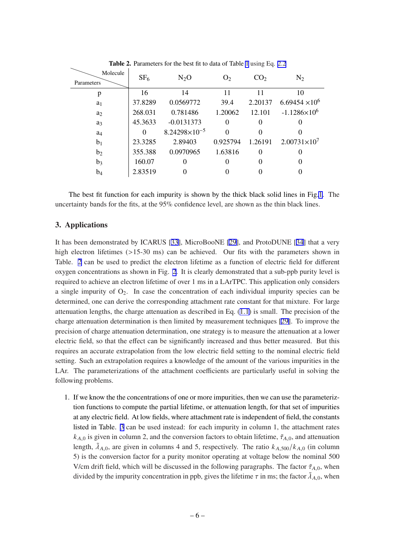<span id="page-6-0"></span>

| Molecule<br>Parameters | SF <sub>6</sub> | $N_2O$                 | O <sub>2</sub> | CO <sub>2</sub> | $\rm N_2$               |
|------------------------|-----------------|------------------------|----------------|-----------------|-------------------------|
| p                      | 16              | 14                     | 11             | 11              | 10                      |
| a <sub>1</sub>         | 37.8289         | 0.0569772              | 39.4           | 2.20137         | $6.69454 \times 10^{6}$ |
| a <sub>2</sub>         | 268.031         | 0.781486               | 1.20062        | 12.101          | $-1.1286\times10^{6}$   |
| a <sub>3</sub>         | 45.3633         | $-0.0131373$           | 0              | 0               |                         |
| a <sub>4</sub>         | 0               | $8.24298\times10^{-5}$ | 0              | 0               |                         |
| b <sub>1</sub>         | 23.3285         | 2.89403                | 0.925794       | 1.26191         | $2.00731\times10^{7}$   |
| b <sub>2</sub>         | 355.388         | 0.0970965              | 1.63816        | $\theta$        |                         |
| $b_3$                  | 160.07          | $\Omega$               | 0              | 0               |                         |
| b <sub>4</sub>         | 2.83519         |                        |                |                 |                         |

**Table 2.** Parameters for the best fit to data of Table [1](#page-3-0) using Eq. [2.2](#page-5-0)

The best fit function for each impurity is shown by the thick black solid lines in Fig.[1](#page-7-0). The uncertainty bands for the fits, at the 95% confidence level, are shown as the thin black lines.

### **3. Applications**

It has been demonstrated by ICARUS [[33\]](#page-12-0), MicroBooNE [\[29](#page-12-0)], and ProtoDUNE [[34](#page-12-0)] that a very high electron lifetimes (>15-30 ms) can be achieved. Our fits with the parameters shown in Table. 2 can be used to predict the electron lifetime as a function of electric field for different oxygen concentrations as shown in Fig. [2.](#page-8-0) It is clearly demonstrated that a sub-ppb purity level is required to achieve an electron lifetime of over 1 ms in a LArTPC. This application only considers a single impurity of  $O_2$ . In case the concentration of each individual impurity species can be determined, one can derive the corresponding attachment rate constant for that mixture. For large attenuation lengths, the charge attenuation as described in Eq. ([1.1](#page-2-0)) is small. The precision of the charge attenuation determination is then limited by measurement techniques [[29\]](#page-12-0). To improve the precision of charge attenuation determination, one strategy is to measure the attenuation at a lower electric field, so that the effect can be significantly increased and thus better measured. But this requires an accurate extrapolation from the low electric field setting to the nominal electric field setting. Such an extrapolation requires a knowledge of the amount of the various impurities in the LAr. The parameterizations of the attachment coefficients are particularly useful in solving the following problems.

1. If we know the the concentrations of one or more impurities, then we can use the parameteriztion functions to compute the partial lifetime, or attenuation length, for that set of impurities at any electric field. At low fields, where attachment rate is independent of field, the constants listed in Table. [3](#page-8-0) can be used instead: for each impurity in column 1, the attachment rates  $k_{A,0}$  is given in column 2, and the conversion factors to obtain lifetime,  $\tilde{\tau}_{A,0}$ , and attenuation length,  $\tilde{\lambda}_{A,0}$ , are given in columns 4 and 5, respectively. The ratio  $k_{A,500}/k_{A,0}$  (in column 5) is the conversion factor for a purity monitor operating at voltage below the nominal 500 V/cm drift field, which will be discussed in the following paragraphs. The factor  $\tilde{\tau}_{A,0}$ , when divided by the impurity concentration in ppb, gives the lifetime  $\tau$  in ms; the factor  $\tilde{\lambda}_{A,0}$ , when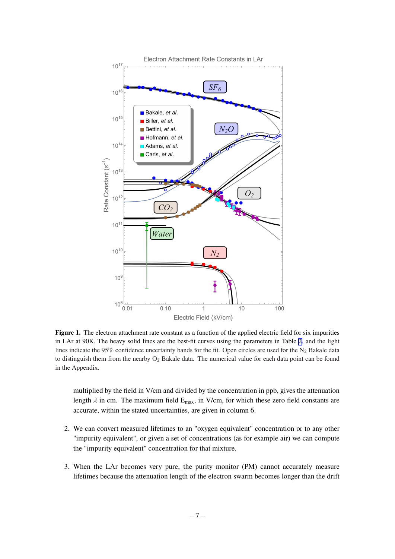<span id="page-7-0"></span>

**Figure 1.** The electron attachment rate constant as a function of the applied electric field for six impurities in LAr at 90K. The heavy solid lines are the best-fit curves using the parameters in Table [2](#page-6-0), and the light lines indicate the 95% confidence uncertainty bands for the fit. Open circles are used for the  $N_2$  Bakale data to distinguish them from the nearby  $O_2$  Bakale data. The numerical value for each data point can be found in the Appendix.

multiplied by the field in V/cm and divided by the concentration in ppb, gives the attenuation length  $\lambda$  in cm. The maximum field  $E_{max}$ , in V/cm, for which these zero field constants are accurate, within the stated uncertainties, are given in column 6.

- 2. We can convert measured lifetimes to an "oxygen equivalent" concentration or to any other "impurity equivalent", or given a set of concentrations (as for example air) we can compute the "impurity equivalent" concentration for that mixture.
- 3. When the LAr becomes very pure, the purity monitor (PM) cannot accurately measure lifetimes because the attenuation length of the electron swarm becomes longer than the drift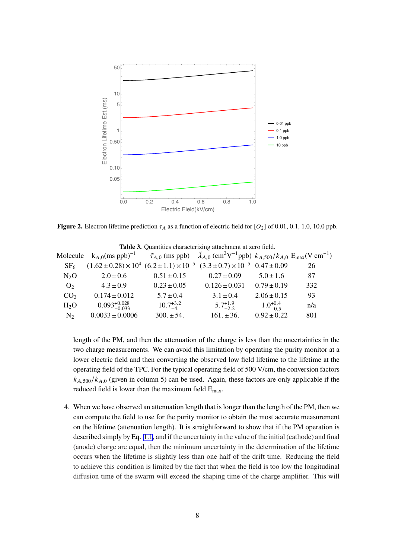<span id="page-8-0"></span>

**Figure 2.** Electron lifetime prediction  $\tau_A$  as a function of electric field for [O<sub>2</sub>] of 0.01, 0.1, 1.0, 10.0 ppb.

|                 |                                                                                                                                                                                         |                    | <b>Table 5.</b> Ouantities characterizing attachment at zero field. |                     |     |
|-----------------|-----------------------------------------------------------------------------------------------------------------------------------------------------------------------------------------|--------------------|---------------------------------------------------------------------|---------------------|-----|
| Molecule        | $k_{A,0}$ (ms ppb) <sup>-1</sup> $\tilde{\tau}_{A,0}$ (ms ppb) $\tilde{\lambda}_{A,0}$ (cm <sup>2</sup> V <sup>-1</sup> ppb) $k_{A,500}/k_{A,0}$ E <sub>max</sub> (V cm <sup>-1</sup> ) |                    |                                                                     |                     |     |
| SF <sub>6</sub> | $(1.62 \pm 0.28) \times 10^4$ $(6.2 \pm 1.1) \times 10^{-5}$ $(3.3 \pm 0.7) \times 10^{-5}$ $0.47 \pm 0.09$                                                                             |                    |                                                                     |                     | 26  |
| $N_2O$          | $2.0 \pm 0.6$                                                                                                                                                                           | $0.51 \pm 0.15$    | $0.27 \pm 0.09$                                                     | $5.0 \pm 1.6$       | 87  |
| O <sub>2</sub>  | $4.3 \pm 0.9$                                                                                                                                                                           | $0.23 \pm 0.05$    | $0.126 \pm 0.031$                                                   | $0.79 \pm 0.19$     | 332 |
| CO <sub>2</sub> | $0.174 \pm 0.012$                                                                                                                                                                       | $5.7 \pm 0.4$      | $3.1 \pm 0.4$                                                       | $2.06 \pm 0.15$     | 93  |
| $H_2O$          | $0.093_{-0.033}^{+0.028}$                                                                                                                                                               | $10.7^{+3.2}_{-4}$ | $5.7^{+1.9}_{-2.2}$                                                 | $1.0^{+0.4}_{-0.5}$ | n/a |
| N <sub>2</sub>  | $0.0033 \pm 0.0006$                                                                                                                                                                     | $300. \pm 54.$     | $161. \pm 36.$                                                      | $0.92 \pm 0.22$     | 801 |

**Table 3.** Quantities characterizing attachment at zero field.

length of the PM, and then the attenuation of the charge is less than the uncertainties in the two charge measurements. We can avoid this limitation by operating the purity monitor at a lower electric field and then converting the observed low field lifetime to the lifetime at the operating field of the TPC. For the typical operating field of 500 V/cm, the conversion factors  $k_{A,500}/k_{A,0}$  (given in column 5) can be used. Again, these factors are only applicable if the reduced field is lower than the maximum field Emax.

4. When we have observed an attenuation length that is longer than the length of the PM, then we can compute the field to use for the purity monitor to obtain the most accurate measurement on the lifetime (attenuation length). It is straightforward to show that if the PM operation is described simply by Eq. [1.1](#page-2-0), and if the uncertainty in the value of the initial (cathode) and final (anode) charge are equal, then the minimum uncertainty in the determination of the lifetime occurs when the lifetime is slightly less than one half of the drift time. Reducing the field to achieve this condition is limited by the fact that when the field is too low the longitudinal diffusion time of the swarm will exceed the shaping time of the charge amplifier. This will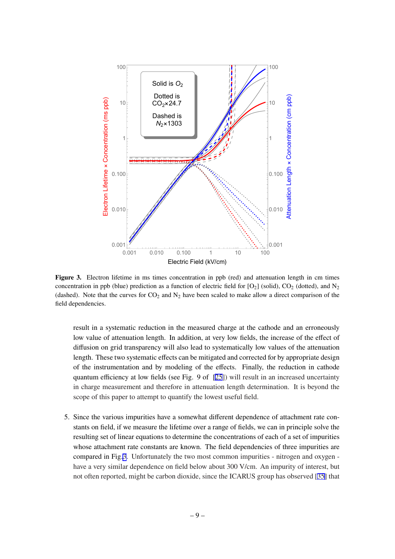

**Figure 3.** Electron lifetime in ms times concentration in ppb (red) and attenuation length in cm times concentration in ppb (blue) prediction as a function of electric field for  $[O_2]$  (solid),  $CO_2$  (dotted), and  $N_2$ (dashed). Note that the curves for  $CO_2$  and  $N_2$  have been scaled to make allow a direct comparison of the field dependencies.

result in a systematic reduction in the measured charge at the cathode and an erroneously low value of attenuation length. In addition, at very low fields, the increase of the effect of diffusion on grid transparency will also lead to systematically low values of the attenuation length. These two systematic effects can be mitigated and corrected for by appropriate design of the instrumentation and by modeling of the effects. Finally, the reduction in cathode quantum efficiency at low fields (see Fig. 9 of [\[25](#page-11-0)]) will result in an increased uncertainty in charge measurement and therefore in attenuation length determination. It is beyond the scope of this paper to attempt to quantify the lowest useful field.

5. Since the various impurities have a somewhat different dependence of attachment rate constants on field, if we measure the lifetime over a range of fields, we can in principle solve the resulting set of linear equations to determine the concentrations of each of a set of impurities whose attachment rate constants are known. The field dependencies of three impurities are compared in Fig.3. Unfortunately the two most common impurities - nitrogen and oxygen have a very similar dependence on field below about 300 V/cm. An impurity of interest, but not often reported, might be carbon dioxide, since the ICARUS group has observed [\[35](#page-12-0)] that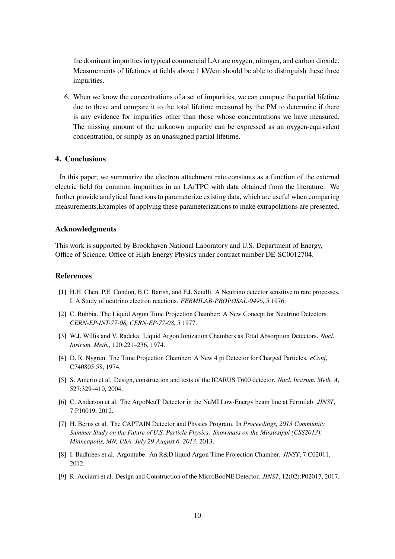<span id="page-10-0"></span>the dominant impurities in typical commercial LAr are oxygen, nitrogen, and carbon dioxide. Measurements of lifetimes at fields above 1 kV/cm should be able to distinguish these three impurities.

6. When we know the concentrations of a set of impurities, we can compute the partial lifetime due to these and compare it to the total lifetime measured by the PM to determine if there is any evidence for impurities other than those whose concentrations we have measured. The missing amount of the unknown impurity can be expressed as an oxygen-equivalent concentration, or simply as an unassigned partial lifetime.

# **4. Conclusions**

In this paper, we summarize the electron attachment rate constants as a function of the external electric field for common impurities in an LArTPC with data obtained from the literature. We further provide analytical functions to parameterize existing data, which are useful when comparing measurements.Examples of applying these parameterizations to make extrapolations are presented.

#### **Acknowledgments**

This work is supported by Brookhaven National Laboratory and U.S. Department of Energy, Office of Science, Office of High Energy Physics under contract number DE-SC0012704.

#### **References**

- [1] H.H. Chen, P.E. Condon, B.C. Barish, and F.J. Sciulli. A Neutrino detector sensitive to rare processes. I. A Study of neutrino electron reactions. *FERMILAB-PROPOSAL-0496*, 5 1976.
- [2] C. Rubbia. The Liquid Argon Time Projection Chamber: A New Concept for Neutrino Detectors. *CERN-EP-INT-77-08, CERN-EP-77-08*, 5 1977.
- [3] W.J. Willis and V. Radeka. Liquid Argon Ionization Chambers as Total Absorption Detectors. *Nucl. Instrum. Meth.*, 120:221–236, 1974.
- [4] D. R. Nygren. The Time Projection Chamber: A New 4 pi Detector for Charged Particles. *eConf*, C740805:58, 1974.
- [5] S. Amerio et al. Design, construction and tests of the ICARUS T600 detector. *Nucl. Instrum. Meth. A*, 527:329–410, 2004.
- [6] C. Anderson et al. The ArgoNeuT Detector in the NuMI Low-Energy beam line at Fermilab. *JINST*, 7:P10019, 2012.
- [7] H. Berns et al. The CAPTAIN Detector and Physics Program. In *Proceedings, 2013 Community Summer Study on the Future of U.S. Particle Physics: Snowmass on the Mississippi (CSS2013): Minneapolis, MN, USA, July 29-August 6, 2013*, 2013.
- [8] I. Badhrees et al. Argontube: An R&D liquid Argon Time Projection Chamber. *JINST*, 7:C02011, 2012.
- [9] R. Acciarri et al. Design and Construction of the MicroBooNE Detector. *JINST*, 12(02):P02017, 2017.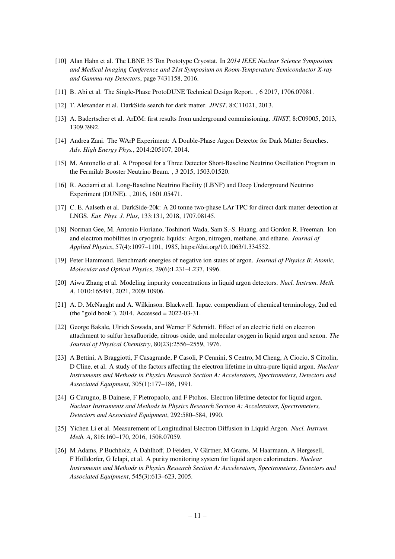- <span id="page-11-0"></span>[10] Alan Hahn et al. The LBNE 35 Ton Prototype Cryostat. In *2014 IEEE Nuclear Science Symposium and Medical Imaging Conference and 21st Symposium on Room-Temperature Semiconductor X-ray and Gamma-ray Detectors*, page 7431158, 2016.
- [11] B. Abi et al. The Single-Phase ProtoDUNE Technical Design Report. , 6 2017, 1706.07081.
- [12] T. Alexander et al. DarkSide search for dark matter. *JINST*, 8:C11021, 2013.
- [13] A. Badertscher et al. ArDM: first results from underground commissioning. *JINST*, 8:C09005, 2013, 1309.3992.
- [14] Andrea Zani. The WArP Experiment: A Double-Phase Argon Detector for Dark Matter Searches. *Adv. High Energy Phys.*, 2014:205107, 2014.
- [15] M. Antonello et al. A Proposal for a Three Detector Short-Baseline Neutrino Oscillation Program in the Fermilab Booster Neutrino Beam. , 3 2015, 1503.01520.
- [16] R. Acciarri et al. Long-Baseline Neutrino Facility (LBNF) and Deep Underground Neutrino Experiment (DUNE). , 2016, 1601.05471.
- [17] C. E. Aalseth et al. DarkSide-20k: A 20 tonne two-phase LAr TPC for direct dark matter detection at LNGS. *Eur. Phys. J. Plus*, 133:131, 2018, 1707.08145.
- [18] Norman Gee, M. Antonio Floriano, Toshinori Wada, Sam S.-S. Huang, and Gordon R. Freeman. Ion and electron mobilities in cryogenic liquids: Argon, nitrogen, methane, and ethane. *Journal of Applied Physics*, 57(4):1097–1101, 1985, https://doi.org/10.1063/1.334552.
- [19] Peter Hammond. Benchmark energies of negative ion states of argon. *Journal of Physics B: Atomic, Molecular and Optical Physics*, 29(6):L231–L237, 1996.
- [20] Aiwu Zhang et al. Modeling impurity concentrations in liquid argon detectors. *Nucl. Instrum. Meth. A*, 1010:165491, 2021, 2009.10906.
- [21] A. D. McNaught and A. Wilkinson. Blackwell. Iupac. compendium of chemical terminology, 2nd ed. (the "gold book"), 2014. Accessed = 2022-03-31.
- [22] George Bakale, Ulrich Sowada, and Werner F Schmidt. Effect of an electric field on electron attachment to sulfur hexafluoride, nitrous oxide, and molecular oxygen in liquid argon and xenon. *The Journal of Physical Chemistry*, 80(23):2556–2559, 1976.
- [23] A Bettini, A Braggiotti, F Casagrande, P Casoli, P Cennini, S Centro, M Cheng, A Ciocio, S Cittolin, D Cline, et al. A study of the factors affecting the electron lifetime in ultra-pure liquid argon. *Nuclear Instruments and Methods in Physics Research Section A: Accelerators, Spectrometers, Detectors and Associated Equipment*, 305(1):177–186, 1991.
- [24] G Carugno, B Dainese, F Pietropaolo, and F Ptohos. Electron lifetime detector for liquid argon. *Nuclear Instruments and Methods in Physics Research Section A: Accelerators, Spectrometers, Detectors and Associated Equipment*, 292:580–584, 1990.
- [25] Yichen Li et al. Measurement of Longitudinal Electron Diffusion in Liquid Argon. *Nucl. Instrum. Meth. A*, 816:160–170, 2016, 1508.07059.
- [26] M Adams, P Buchholz, A Dahlhoff, D Feiden, V Gärtner, M Grams, M Haarmann, A Hergesell, F Hölldorfer, G Ielapi, et al. A purity monitoring system for liquid argon calorimeters. *Nuclear Instruments and Methods in Physics Research Section A: Accelerators, Spectrometers, Detectors and Associated Equipment*, 545(3):613–623, 2005.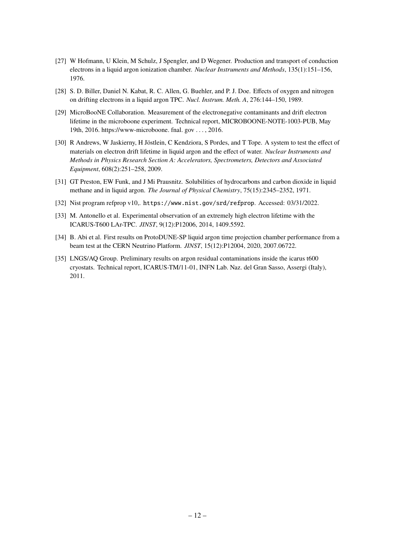- <span id="page-12-0"></span>[27] W Hofmann, U Klein, M Schulz, J Spengler, and D Wegener. Production and transport of conduction electrons in a liquid argon ionization chamber. *Nuclear Instruments and Methods*, 135(1):151–156, 1976.
- [28] S. D. Biller, Daniel N. Kabat, R. C. Allen, G. Buehler, and P. J. Doe. Effects of oxygen and nitrogen on drifting electrons in a liquid argon TPC. *Nucl. Instrum. Meth. A*, 276:144–150, 1989.
- [29] MicroBooNE Collaboration. Measurement of the electronegative contaminants and drift electron lifetime in the microboone experiment. Technical report, MICROBOONE-NOTE-1003-PUB, May 19th, 2016. https://www-microboone. fnal. gov . . . , 2016.
- [30] R Andrews, W Jaskierny, H Jöstlein, C Kendziora, S Pordes, and T Tope. A system to test the effect of materials on electron drift lifetime in liquid argon and the effect of water. *Nuclear Instruments and Methods in Physics Research Section A: Accelerators, Spectrometers, Detectors and Associated Equipment*, 608(2):251–258, 2009.
- [31] GT Preston, EW Funk, and J Mi Prausnitz. Solubilities of hydrocarbons and carbon dioxide in liquid methane and in liquid argon. *The Journal of Physical Chemistry*, 75(15):2345–2352, 1971.
- [32] Nist program refprop v10,. https://www.nist.gov/srd/refprop. Accessed: 03/31/2022.
- [33] M. Antonello et al. Experimental observation of an extremely high electron lifetime with the ICARUS-T600 LAr-TPC. *JINST*, 9(12):P12006, 2014, 1409.5592.
- [34] B. Abi et al. First results on ProtoDUNE-SP liquid argon time projection chamber performance from a beam test at the CERN Neutrino Platform. *JINST*, 15(12):P12004, 2020, 2007.06722.
- [35] LNGS/AQ Group. Preliminary results on argon residual contaminations inside the icarus t600 cryostats. Technical report, ICARUS-TM/11-01, INFN Lab. Naz. del Gran Sasso, Assergi (Italy), 2011.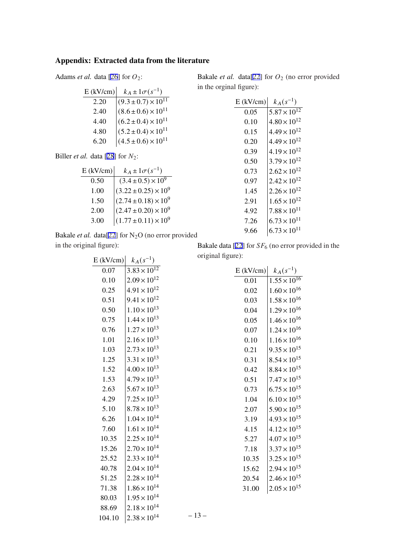# **Appendix: Extracted data from the literature**

Adams *et al.* data [[26\]](#page-11-0) for  $O_2$ :

| $E$ (kV/cm) | $k_A \pm 1 \sigma (s^{-1})$                                                                                                                                         |
|-------------|---------------------------------------------------------------------------------------------------------------------------------------------------------------------|
| 2.20        |                                                                                                                                                                     |
| 2.40        |                                                                                                                                                                     |
| 4.40        |                                                                                                                                                                     |
| 4.80        |                                                                                                                                                                     |
| 6.20        | $\begin{array}{c} (9.3\pm0.7)\times10^{11}\\ (8.6\pm0.6)\times10^{11}\\ (6.2\pm0.4)\times10^{11}\\ (5.2\pm0.4)\times10^{11}\\ (4.5\pm0.6)\times10^{11} \end{array}$ |

Biller *et al.* data [\[28\]](#page-12-0) for  $N_2$ :

| $E$ (kV/cm) | $k_A \pm 1 \sigma (s^{-1})$                                                                                                            |
|-------------|----------------------------------------------------------------------------------------------------------------------------------------|
| 0.50        | $(3.4 \pm 0.5) \times 10^{9}$<br>(3.22 ± 0.25) × 10 <sup>9</sup><br>(2.74 ± 0.18) × 10 <sup>9</sup><br>(2.47 ± 0.20) × 10 <sup>9</sup> |
| 1.00        |                                                                                                                                        |
| 1.50        |                                                                                                                                        |
| 2.00        |                                                                                                                                        |
| 3.00        | $(1.77 \pm 0.11) \times 10^9$                                                                                                          |

Bakale *et al.* data[\[22](#page-11-0)] for N<sub>2</sub>O (no error provided in the original figure):

| $E$ (kV/cm) | $k_A(s^{-1})$         |
|-------------|-----------------------|
| 0.07        | $3.83 \times 10^{12}$ |
| 0.10        | $2.09 \times 10^{12}$ |
| 0.25        | $4.91 \times 10^{12}$ |
| 0.51        | $9.41 \times 10^{12}$ |
| 0.50        | $1.10 \times 10^{13}$ |
| 0.75        | $1.44 \times 10^{13}$ |
| 0.76        | $1.27 \times 10^{13}$ |
| 1.01        | $2.16 \times 10^{13}$ |
| 1.03        | $2.73 \times 10^{13}$ |
| 1.25        | $3.31 \times 10^{13}$ |
| 1.52        | $4.00 \times 10^{13}$ |
| 1.53        | $4.79 \times 10^{13}$ |
| 2.63        | $5.67 \times 10^{13}$ |
| 4.29        | $7.25 \times 10^{13}$ |
| 5.10        | $8.78 \times 10^{13}$ |
| 6.26        | $1.04 \times 10^{14}$ |
| 7.60        | $1.61 \times 10^{14}$ |
| 10.35       | $2.25 \times 10^{14}$ |
| 15.26       | $2.70 \times 10^{14}$ |
| 25.52       | $2.33 \times 10^{14}$ |
| 40.78       | $2.04 \times 10^{14}$ |
| 51.25       | $2.28 \times 10^{14}$ |
| 71.38       | $1.86 \times 10^{14}$ |
| 80.03       | $1.95 \times 10^{14}$ |
| 88.69       | $2.18 \times 10^{14}$ |
| 104.10      | $2.38 \times 10^{14}$ |

Bakale *et al.* data[\[22](#page-11-0)] for  $O_2$  (no error provided in the orginal figure):

| $E$ (kV/cm) | $k_A(s^{-1})$         |
|-------------|-----------------------|
| 0.05        | $5.87 \times 10^{12}$ |
| 0.10        | $4.80 \times 10^{12}$ |
| 0.15        | $4.49 \times 10^{12}$ |
| 0.20        | $4.49 \times 10^{12}$ |
| 0.39        | $4.19 \times 10^{12}$ |
| 0.50        | $3.79 \times 10^{12}$ |
| 0.73        | $2.62 \times 10^{12}$ |
| 0.97        | $2.42 \times 10^{12}$ |
| 1.45        | $2.26 \times 10^{12}$ |
| 2.91        | $1.65 \times 10^{12}$ |
| 4.92        | $7.88 \times 10^{11}$ |
| 7.26        | $6.73 \times 10^{11}$ |
| 9.66        | $6.73 \times 10^{11}$ |

Bakale data [[22\]](#page-11-0) for  $SF_6$  (no error provided in the original figure):

| $E$ (kV/cm) | $k_A(s^{-1})$         |
|-------------|-----------------------|
| 0.01        | $1.55 \times 10^{16}$ |
| 0.02        | $1.60 \times 10^{16}$ |
| 0.03        | $1.58 \times 10^{16}$ |
| 0.04        | $1.29 \times 10^{16}$ |
| 0.05        | $1.46 \times 10^{16}$ |
| 0.07        | $1.24 \times 10^{16}$ |
| 0.10        | $1.16 \times 10^{16}$ |
| 0.21        | $9.35 \times 10^{15}$ |
| 0.31        | $8.54 \times 10^{15}$ |
| 0.42        | $8.84 \times 10^{15}$ |
| 0.51        | $7.47 \times 10^{15}$ |
| 0.73        | $6.75 \times 10^{15}$ |
| 1.04        | $6.10 \times 10^{15}$ |
| 2.07        | $5.90 \times 10^{15}$ |
| 3.19        | $4.93 \times 10^{15}$ |
| 4.15        | $4.12 \times 10^{15}$ |
| 5.27        | $4.07 \times 10^{15}$ |
| 7.18        | $3.37 \times 10^{15}$ |
| 10.35       | $3.25 \times 10^{15}$ |
| 15.62       | $2.94 \times 10^{15}$ |
| 20.54       | $2.46 \times 10^{15}$ |
| 31.00       | $2.05 \times 10^{15}$ |